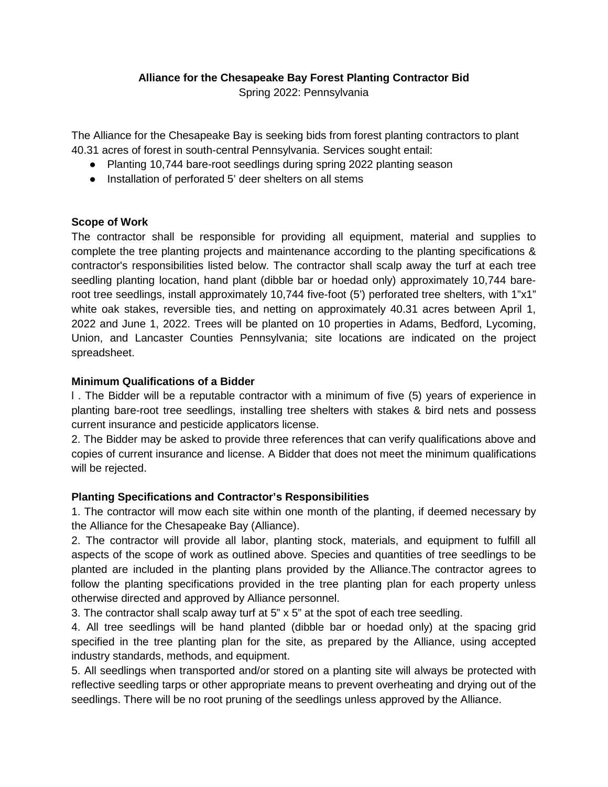# **Alliance for the Chesapeake Bay Forest Planting Contractor Bid**

Spring 2022: Pennsylvania

The Alliance for the Chesapeake Bay is seeking bids from forest planting contractors to plant 40.31 acres of forest in south-central Pennsylvania. Services sought entail:

- Planting 10,744 bare-root seedlings during spring 2022 planting season
- Installation of perforated 5' deer shelters on all stems

## **Scope of Work**

The contractor shall be responsible for providing all equipment, material and supplies to complete the tree planting projects and maintenance according to the planting specifications & contractor's responsibilities listed below. The contractor shall scalp away the turf at each tree seedling planting location, hand plant (dibble bar or hoedad only) approximately 10,744 bareroot tree seedlings, install approximately 10,744 five-foot (5') perforated tree shelters, with 1"x1" white oak stakes, reversible ties, and netting on approximately 40.31 acres between April 1, 2022 and June 1, 2022. Trees will be planted on 10 properties in Adams, Bedford, Lycoming, Union, and Lancaster Counties Pennsylvania; site locations are indicated on the project spreadsheet.

#### **Minimum Qualifications of a Bidder**

l . The Bidder will be a reputable contractor with a minimum of five (5) years of experience in planting bare-root tree seedlings, installing tree shelters with stakes & bird nets and possess current insurance and pesticide applicators license.

2. The Bidder may be asked to provide three references that can verify qualifications above and copies of current insurance and license. A Bidder that does not meet the minimum qualifications will be rejected.

## **Planting Specifications and Contractor's Responsibilities**

1. The contractor will mow each site within one month of the planting, if deemed necessary by the Alliance for the Chesapeake Bay (Alliance).

2. The contractor will provide all labor, planting stock, materials, and equipment to fulfill all aspects of the scope of work as outlined above. Species and quantities of tree seedlings to be planted are included in the planting plans provided by the Alliance.The contractor agrees to follow the planting specifications provided in the tree planting plan for each property unless otherwise directed and approved by Alliance personnel.

3. The contractor shall scalp away turf at 5" x 5" at the spot of each tree seedling.

4. All tree seedlings will be hand planted (dibble bar or hoedad only) at the spacing grid specified in the tree planting plan for the site, as prepared by the Alliance, using accepted industry standards, methods, and equipment.

5. All seedlings when transported and/or stored on a planting site will always be protected with reflective seedling tarps or other appropriate means to prevent overheating and drying out of the seedlings. There will be no root pruning of the seedlings unless approved by the Alliance.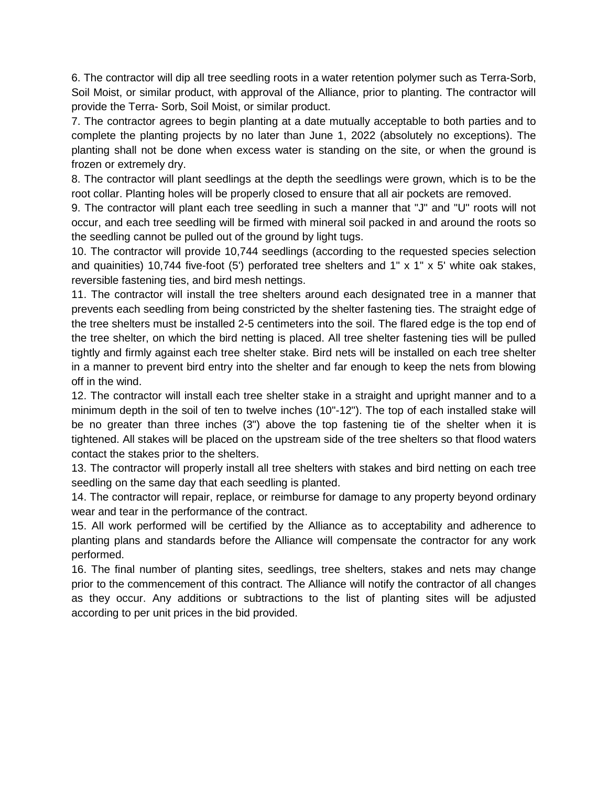6. The contractor will dip all tree seedling roots in a water retention polymer such as Terra-Sorb, Soil Moist, or similar product, with approval of the Alliance, prior to planting. The contractor will provide the Terra- Sorb, Soil Moist, or similar product.

7. The contractor agrees to begin planting at a date mutually acceptable to both parties and to complete the planting projects by no later than June 1, 2022 (absolutely no exceptions). The planting shall not be done when excess water is standing on the site, or when the ground is frozen or extremely dry.

8. The contractor will plant seedlings at the depth the seedlings were grown, which is to be the root collar. Planting holes will be properly closed to ensure that all air pockets are removed.

9. The contractor will plant each tree seedling in such a manner that "J" and "U" roots will not occur, and each tree seedling will be firmed with mineral soil packed in and around the roots so the seedling cannot be pulled out of the ground by light tugs.

10. The contractor will provide 10,744 seedlings (according to the requested species selection and quainities) 10,744 five-foot (5') perforated tree shelters and 1" x 1" x 5' white oak stakes, reversible fastening ties, and bird mesh nettings.

11. The contractor will install the tree shelters around each designated tree in a manner that prevents each seedling from being constricted by the shelter fastening ties. The straight edge of the tree shelters must be installed 2-5 centimeters into the soil. The flared edge is the top end of the tree shelter, on which the bird netting is placed. All tree shelter fastening ties will be pulled tightly and firmly against each tree shelter stake. Bird nets will be installed on each tree shelter in a manner to prevent bird entry into the shelter and far enough to keep the nets from blowing off in the wind.

12. The contractor will install each tree shelter stake in a straight and upright manner and to a minimum depth in the soil of ten to twelve inches (10"-12"). The top of each installed stake will be no greater than three inches (3") above the top fastening tie of the shelter when it is tightened. All stakes will be placed on the upstream side of the tree shelters so that flood waters contact the stakes prior to the shelters.

13. The contractor will properly install all tree shelters with stakes and bird netting on each tree seedling on the same day that each seedling is planted.

14. The contractor will repair, replace, or reimburse for damage to any property beyond ordinary wear and tear in the performance of the contract.

15. All work performed will be certified by the Alliance as to acceptability and adherence to planting plans and standards before the Alliance will compensate the contractor for any work performed.

16. The final number of planting sites, seedlings, tree shelters, stakes and nets may change prior to the commencement of this contract. The Alliance will notify the contractor of all changes as they occur. Any additions or subtractions to the list of planting sites will be adjusted according to per unit prices in the bid provided.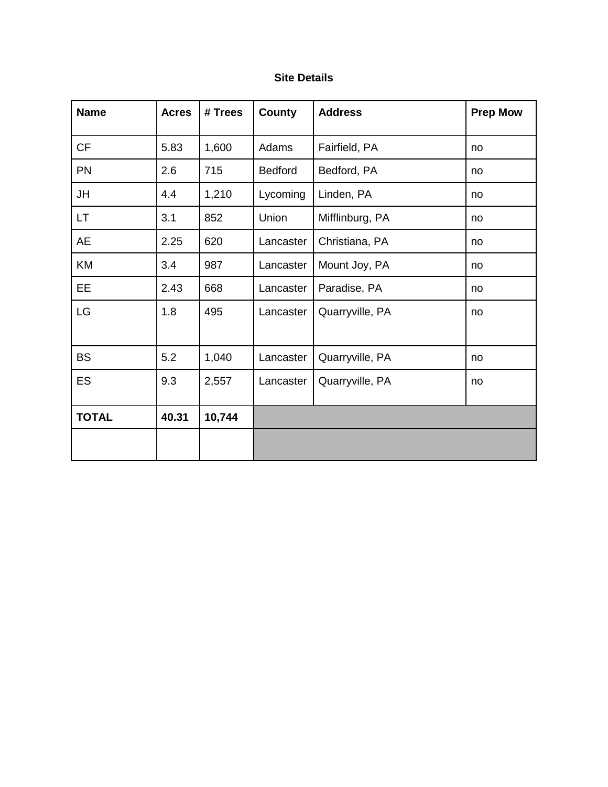# **Site Details**

| <b>Name</b>  | <b>Acres</b> | # Trees | County    | <b>Address</b>  | <b>Prep Mow</b> |
|--------------|--------------|---------|-----------|-----------------|-----------------|
| <b>CF</b>    | 5.83         | 1,600   | Adams     | Fairfield, PA   | no              |
| <b>PN</b>    | 2.6          | 715     | Bedford   | Bedford, PA     | no              |
| JH           | 4.4          | 1,210   | Lycoming  | Linden, PA      | no              |
| LT.          | 3.1          | 852     | Union     | Mifflinburg, PA | no              |
| <b>AE</b>    | 2.25         | 620     | Lancaster | Christiana, PA  | no              |
| KM           | 3.4          | 987     | Lancaster | Mount Joy, PA   | no              |
| <b>EE</b>    | 2.43         | 668     | Lancaster | Paradise, PA    | no              |
| LG           | 1.8          | 495     | Lancaster | Quarryville, PA | no              |
| <b>BS</b>    | 5.2          | 1,040   | Lancaster | Quarryville, PA | no              |
| ES           | 9.3          | 2,557   | Lancaster | Quarryville, PA | no              |
| <b>TOTAL</b> | 40.31        | 10,744  |           |                 |                 |
|              |              |         |           |                 |                 |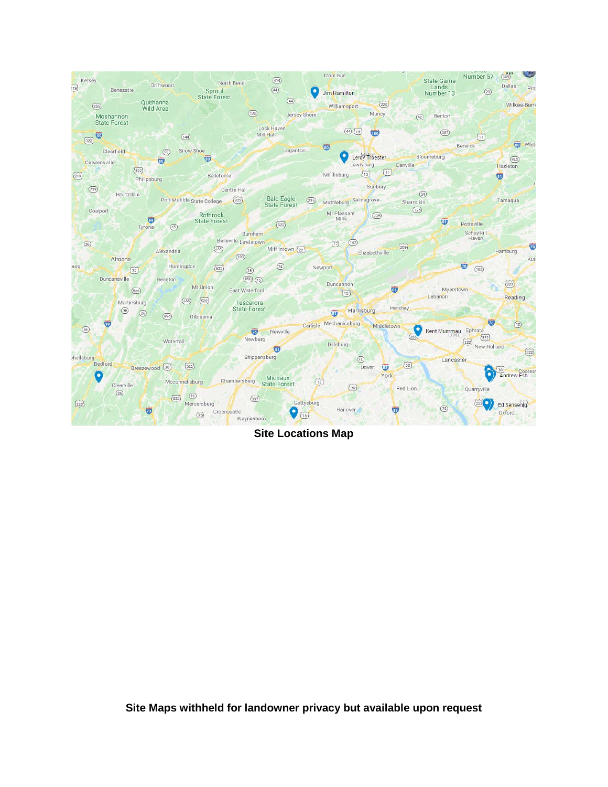

**Site Locations Map**

**Site Maps withheld for landowner privacy but available upon request**